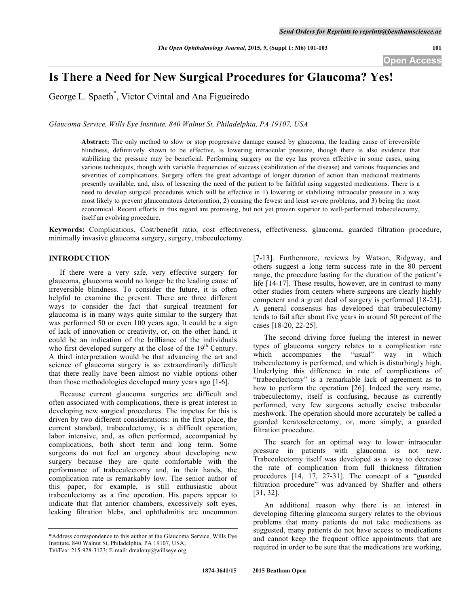# **Is There a Need for New Surgical Procedures for Glaucoma? Yes!**

George L. Spaeth\* , Victor Cvintal and Ana Figueiredo

*Glaucoma Service, Wills Eye Institute, 840 Walnut St, Philadelphia, PA 19107, USA*

**Abstract:** The only method to slow or stop progressive damage caused by glaucoma, the leading cause of irreversible blindness, definitively shown to be effective, is lowering intraocular pressure, though there is also evidence that stabilizing the pressure may be beneficial. Performing surgery on the eye has proven effective in some cases, using various techniques, though with variable frequencies of success (stabilization of the disease) and various frequencies and severities of complications. Surgery offers the great advantage of longer duration of action than medicinal treatments presently available, and, also, of lessening the need of the patient to be faithful using suggested medications. There is a need to develop surgical procedures which will be effective in 1) lowering or stabilizing intraocular pressure in a way most likely to prevent glaucomatous deterioration, 2) causing the fewest and least severe problems, and 3) being the most economical. Recent efforts in this regard are promising, but not yet proven superior to well-performed trabeculectomy, itself an evolving procedure.

**Keywords:** Complications, Cost/benefit ratio, cost effectiveness, effectiveness, glaucoma, guarded filtration procedure, minimally invasive glaucoma surgery, surgery, trabeculectomy.

## **INTRODUCTION**

If there were a very safe, very effective surgery for glaucoma, glaucoma would no longer be the leading cause of irreversible blindness. To consider the future, it is often helpful to examine the present. There are three different ways to consider the fact that surgical treatment for glaucoma is in many ways quite similar to the surgery that was performed 50 or even 100 years ago. It could be a sign of lack of innovation or creativity, or, on the other hand, it could be an indication of the brilliance of the individuals who first developed surgery at the close of the  $19<sup>th</sup>$  Century. A third interpretation would be that advancing the art and science of glaucoma surgery is so extraordinarily difficult that there really have been almost no viable options other than those methodologies developed many years ago [1-6].

Because current glaucoma surgeries are difficult and often associated with complications, there is great interest in developing new surgical procedures. The impetus for this is driven by two different considerations: in the first place, the current standard, trabeculectomy, is a difficult operation, labor intensive, and, as often performed, accompanied by complications, both short term and long term. Some surgeons do not feel an urgency about developing new surgery because they are quite comfortable with the performance of trabeculectomy and, in their hands, the complication rate is remarkably low. The senior author of this paper, for example, is still enthusiastic about trabeculectomy as a fine operation. His papers appear to indicate that flat anterior chambers, excessively soft eyes, leaking filtration blebs, and ophthalmitis are uncommon

[7-13]. Furthermore, reviews by Watson, Ridgway, and others suggest a long term success rate in the 80 percent range, the procedure lasting for the duration of the patient's life [14-17]. These results, however, are in contrast to many other studies from centers where surgeons are clearly highly competent and a great deal of surgery is performed [18-23]. A general consensus has developed that trabeculectomy tends to fail after about five years in around 50 percent of the cases [18-20, 22-25].

The second driving force fueling the interest in newer types of glaucoma surgery relates to a complication rate which accompanies the "usual" way in which trabeculectomy is performed, and which is disturbingly high. Underlying this difference in rate of complications of "trabeculectomy" is a remarkable lack of agreement as to how to perform the operation [26]. Indeed the very name, trabeculectomy, itself is confusing, because as currently performed, very few surgeons actually excise trabecular meshwork. The operation should more accurately be called a guarded keratosclerectomy, or, more simply, a guarded filtration procedure.

The search for an optimal way to lower intraocular pressure in patients with glaucoma is not new. Trabeculectomy itself was developed as a way to decrease the rate of complication from full thickness filtration procedures [14, 17, 27-31]. The concept of a "guarded filtration procedure" was advanced by Shaffer and others [31, 32].

An additional reason why there is an interest in developing filtering glaucoma surgery relates to the obvious problems that many patients do not take medications as suggested, many patients do not have access to medications and cannot keep the frequent office appointments that are required in order to be sure that the medications are working,

<sup>\*</sup>Address correspondence to this author at the Glaucoma Service, Wills Eye Institute, 840 Walnut St, Philadelphia, PA 19107, USA; Tel/Fax: 215-928-3123; E-mail: dmalony@willseye.org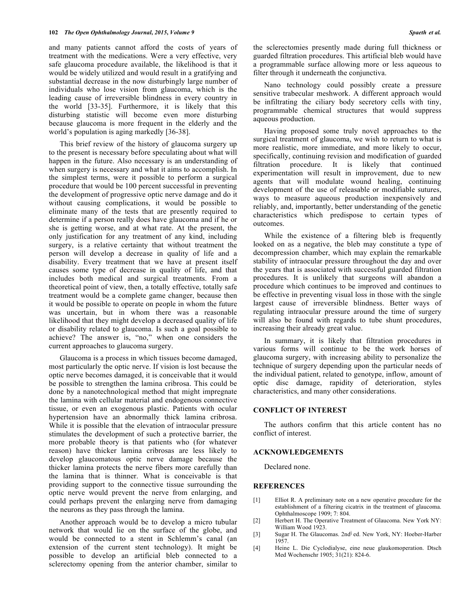and many patients cannot afford the costs of years of treatment with the medications. Were a very effective, very safe glaucoma procedure available, the likelihood is that it would be widely utilized and would result in a gratifying and substantial decrease in the now disturbingly large number of individuals who lose vision from glaucoma, which is the leading cause of irreversible blindness in every country in the world [33-35]. Furthermore, it is likely that this disturbing statistic will become even more disturbing because glaucoma is more frequent in the elderly and the world's population is aging markedly [36-38].

This brief review of the history of glaucoma surgery up to the present is necessary before speculating about what will happen in the future. Also necessary is an understanding of when surgery is necessary and what it aims to accomplish. In the simplest terms, were it possible to perform a surgical procedure that would be 100 percent successful in preventing the development of progressive optic nerve damage and do it without causing complications, it would be possible to eliminate many of the tests that are presently required to determine if a person really does have glaucoma and if he or she is getting worse, and at what rate. At the present, the only justification for any treatment of any kind, including surgery, is a relative certainty that without treatment the person will develop a decrease in quality of life and a disability. Every treatment that we have at present itself causes some type of decrease in quality of life, and that includes both medical and surgical treatments. From a theoretical point of view, then, a totally effective, totally safe treatment would be a complete game changer, because then it would be possible to operate on people in whom the future was uncertain, but in whom there was a reasonable likelihood that they might develop a decreased quality of life or disability related to glaucoma. Is such a goal possible to achieve? The answer is, "no," when one considers the current approaches to glaucoma surgery.

Glaucoma is a process in which tissues become damaged, most particularly the optic nerve. If vision is lost because the optic nerve becomes damaged, it is conceivable that it would be possible to strengthen the lamina cribrosa. This could be done by a nanotechnological method that might impregnate the lamina with cellular material and endogenous connective tissue, or even an exogenous plastic. Patients with ocular hypertension have an abnormally thick lamina cribrosa. While it is possible that the elevation of intraocular pressure stimulates the development of such a protective barrier, the more probable theory is that patients who (for whatever reason) have thicker lamina cribrosas are less likely to develop glaucomatous optic nerve damage because the thicker lamina protects the nerve fibers more carefully than the lamina that is thinner. What is conceivable is that providing support to the connective tissue surrounding the optic nerve would prevent the nerve from enlarging, and could perhaps prevent the enlarging nerve from damaging the neurons as they pass through the lamina.

Another approach would be to develop a micro tubular network that would lie on the surface of the globe, and would be connected to a stent in Schlemm's canal (an extension of the current stent technology). It might be possible to develop an artificial bleb connected to a sclerectomy opening from the anterior chamber, similar to

Nano technology could possibly create a pressure sensitive trabecular meshwork. A different approach would be infiltrating the ciliary body secretory cells with tiny, programmable chemical structures that would suppress aqueous production.

Having proposed some truly novel approaches to the surgical treatment of glaucoma, we wish to return to what is more realistic, more immediate, and more likely to occur, specifically, continuing revision and modification of guarded filtration procedure. It is likely that continued experimentation will result in improvement, due to new agents that will modulate wound healing, continuing development of the use of releasable or modifiable sutures, ways to measure aqueous production inexpensively and reliably, and, importantly, better understanding of the genetic characteristics which predispose to certain types of outcomes.

While the existence of a filtering bleb is frequently looked on as a negative, the bleb may constitute a type of decompression chamber, which may explain the remarkable stability of intraocular pressure throughout the day and over the years that is associated with successful guarded filtration procedures. It is unlikely that surgeons will abandon a procedure which continues to be improved and continues to be effective in preventing visual loss in those with the single largest cause of irreversible blindness. Better ways of regulating intraocular pressure around the time of surgery will also be found with regards to tube shunt procedures, increasing their already great value.

In summary, it is likely that filtration procedures in various forms will continue to be the work horses of glaucoma surgery, with increasing ability to personalize the technique of surgery depending upon the particular needs of the individual patient, related to genotype, inflow, amount of optic disc damage, rapidity of deterioration, styles characteristics, and many other considerations.

### **CONFLICT OF INTEREST**

The authors confirm that this article content has no conflict of interest.

#### **ACKNOWLEDGEMENTS**

Declared none.

#### **REFERENCES**

- [1] Elliot R. A preliminary note on a new operative procedure for the establishment of a filtering cicatrix in the treatment of glaucoma. Ophthalmoscope 1909; 7: 804.
- [2] Herbert H. The Operative Treatment of Glaucoma. New York NY: William Wood 1923.
- [3] Sugar H. The Glaucomas. 2ndآ ed. New York, NY: Hoeber-Harber 1957.
- [4] Heine L. Die Cyclodialyse, eine neue glaukomoperation. Dtsch Med Wochenschr 1905; 31(21): 824-6.